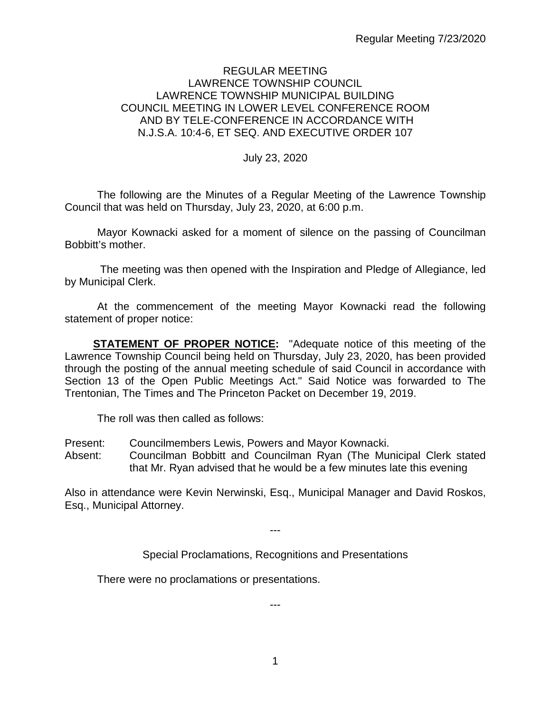## REGULAR MEETING LAWRENCE TOWNSHIP COUNCIL LAWRENCE TOWNSHIP MUNICIPAL BUILDING COUNCIL MEETING IN LOWER LEVEL CONFERENCE ROOM AND BY TELE-CONFERENCE IN ACCORDANCE WITH N.J.S.A. 10:4-6, ET SEQ. AND EXECUTIVE ORDER 107

July 23, 2020

The following are the Minutes of a Regular Meeting of the Lawrence Township Council that was held on Thursday, July 23, 2020, at 6:00 p.m.

Mayor Kownacki asked for a moment of silence on the passing of Councilman Bobbitt's mother.

The meeting was then opened with the Inspiration and Pledge of Allegiance, led by Municipal Clerk.

At the commencement of the meeting Mayor Kownacki read the following statement of proper notice:

**STATEMENT OF PROPER NOTICE:** "Adequate notice of this meeting of the Lawrence Township Council being held on Thursday, July 23, 2020, has been provided through the posting of the annual meeting schedule of said Council in accordance with Section 13 of the Open Public Meetings Act." Said Notice was forwarded to The Trentonian, The Times and The Princeton Packet on December 19, 2019.

The roll was then called as follows:

- Present: Councilmembers Lewis, Powers and Mayor Kownacki.
- Absent: Councilman Bobbitt and Councilman Ryan (The Municipal Clerk stated that Mr. Ryan advised that he would be a few minutes late this evening

Also in attendance were Kevin Nerwinski, Esq., Municipal Manager and David Roskos, Esq., Municipal Attorney.

---

Special Proclamations, Recognitions and Presentations

There were no proclamations or presentations.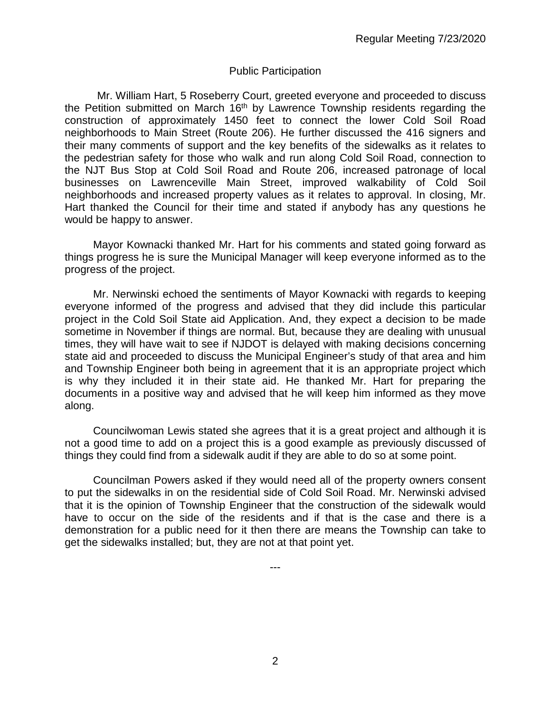#### Public Participation

Mr. William Hart, 5 Roseberry Court, greeted everyone and proceeded to discuss the Petition submitted on March  $16<sup>th</sup>$  by Lawrence Township residents regarding the construction of approximately 1450 feet to connect the lower Cold Soil Road neighborhoods to Main Street (Route 206). He further discussed the 416 signers and their many comments of support and the key benefits of the sidewalks as it relates to the pedestrian safety for those who walk and run along Cold Soil Road, connection to the NJT Bus Stop at Cold Soil Road and Route 206, increased patronage of local businesses on Lawrenceville Main Street, improved walkability of Cold Soil neighborhoods and increased property values as it relates to approval. In closing, Mr. Hart thanked the Council for their time and stated if anybody has any questions he would be happy to answer.

Mayor Kownacki thanked Mr. Hart for his comments and stated going forward as things progress he is sure the Municipal Manager will keep everyone informed as to the progress of the project.

Mr. Nerwinski echoed the sentiments of Mayor Kownacki with regards to keeping everyone informed of the progress and advised that they did include this particular project in the Cold Soil State aid Application. And, they expect a decision to be made sometime in November if things are normal. But, because they are dealing with unusual times, they will have wait to see if NJDOT is delayed with making decisions concerning state aid and proceeded to discuss the Municipal Engineer's study of that area and him and Township Engineer both being in agreement that it is an appropriate project which is why they included it in their state aid. He thanked Mr. Hart for preparing the documents in a positive way and advised that he will keep him informed as they move along.

Councilwoman Lewis stated she agrees that it is a great project and although it is not a good time to add on a project this is a good example as previously discussed of things they could find from a sidewalk audit if they are able to do so at some point.

Councilman Powers asked if they would need all of the property owners consent to put the sidewalks in on the residential side of Cold Soil Road. Mr. Nerwinski advised that it is the opinion of Township Engineer that the construction of the sidewalk would have to occur on the side of the residents and if that is the case and there is a demonstration for a public need for it then there are means the Township can take to get the sidewalks installed; but, they are not at that point yet.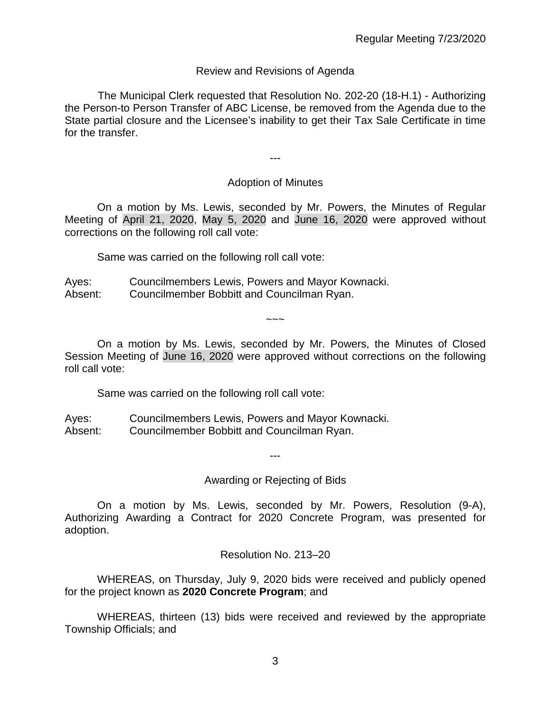## Review and Revisions of Agenda

 The Municipal Clerk requested that Resolution No. 202-20 (18-H.1) - Authorizing the Person-to Person Transfer of ABC License, be removed from the Agenda due to the State partial closure and the Licensee's inability to get their Tax Sale Certificate in time for the transfer.

---

## Adoption of Minutes

On a motion by Ms. Lewis, seconded by Mr. Powers, the Minutes of Regular Meeting of April 21, 2020, May 5, 2020 and June 16, 2020 were approved without corrections on the following roll call vote:

Same was carried on the following roll call vote:

Ayes: Councilmembers Lewis, Powers and Mayor Kownacki. Absent: Councilmember Bobbitt and Councilman Ryan.

On a motion by Ms. Lewis, seconded by Mr. Powers, the Minutes of Closed Session Meeting of June 16, 2020 were approved without corrections on the following roll call vote:

 $\sim\sim\sim$ 

Same was carried on the following roll call vote:

Ayes: Councilmembers Lewis, Powers and Mayor Kownacki. Absent: Councilmember Bobbitt and Councilman Ryan.

Awarding or Rejecting of Bids

---

On a motion by Ms. Lewis, seconded by Mr. Powers, Resolution (9-A), Authorizing Awarding a Contract for 2020 Concrete Program, was presented for adoption.

Resolution No. 213–20

WHEREAS, on Thursday, July 9, 2020 bids were received and publicly opened for the project known as **2020 Concrete Program**; and

WHEREAS, thirteen (13) bids were received and reviewed by the appropriate Township Officials; and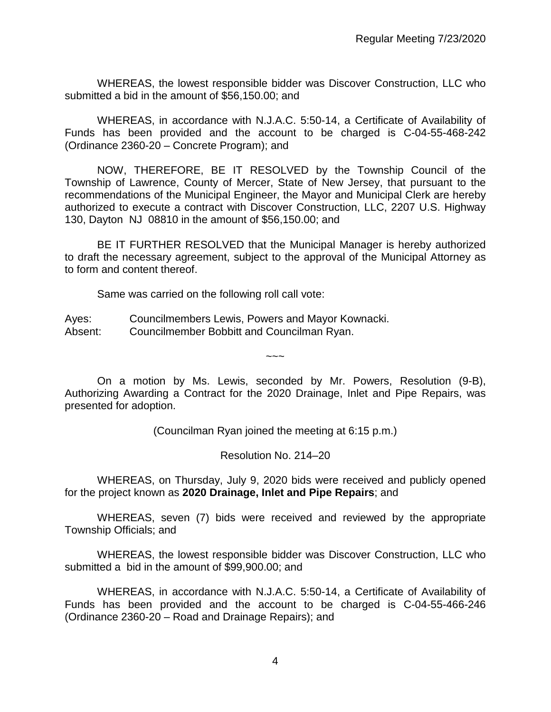WHEREAS, the lowest responsible bidder was Discover Construction, LLC who submitted a bid in the amount of \$56,150.00; and

WHEREAS, in accordance with N.J.A.C. 5:50-14, a Certificate of Availability of Funds has been provided and the account to be charged is C-04-55-468-242 (Ordinance 2360-20 – Concrete Program); and

NOW, THEREFORE, BE IT RESOLVED by the Township Council of the Township of Lawrence, County of Mercer, State of New Jersey, that pursuant to the recommendations of the Municipal Engineer, the Mayor and Municipal Clerk are hereby authorized to execute a contract with Discover Construction, LLC, 2207 U.S. Highway 130, Dayton NJ 08810 in the amount of \$56,150.00; and

BE IT FURTHER RESOLVED that the Municipal Manager is hereby authorized to draft the necessary agreement, subject to the approval of the Municipal Attorney as to form and content thereof.

Same was carried on the following roll call vote:

Ayes: Councilmembers Lewis, Powers and Mayor Kownacki. Absent: Councilmember Bobbitt and Councilman Ryan.

On a motion by Ms. Lewis, seconded by Mr. Powers, Resolution (9-B), Authorizing Awarding a Contract for the 2020 Drainage, Inlet and Pipe Repairs, was presented for adoption.

 $\sim\sim\sim$ 

(Councilman Ryan joined the meeting at 6:15 p.m.)

Resolution No. 214–20

WHEREAS, on Thursday, July 9, 2020 bids were received and publicly opened for the project known as **2020 Drainage, Inlet and Pipe Repairs**; and

WHEREAS, seven (7) bids were received and reviewed by the appropriate Township Officials; and

WHEREAS, the lowest responsible bidder was Discover Construction, LLC who submitted a bid in the amount of \$99,900.00; and

WHEREAS, in accordance with N.J.A.C. 5:50-14, a Certificate of Availability of Funds has been provided and the account to be charged is C-04-55-466-246 (Ordinance 2360-20 – Road and Drainage Repairs); and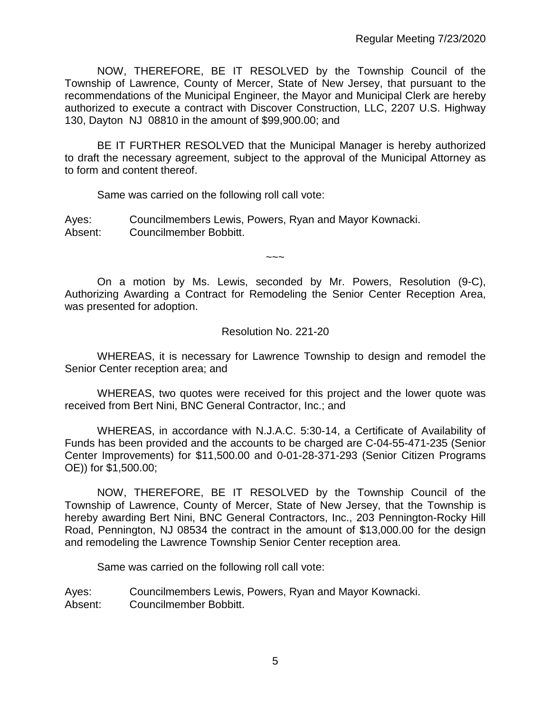NOW, THEREFORE, BE IT RESOLVED by the Township Council of the Township of Lawrence, County of Mercer, State of New Jersey, that pursuant to the recommendations of the Municipal Engineer, the Mayor and Municipal Clerk are hereby authorized to execute a contract with Discover Construction, LLC, 2207 U.S. Highway 130, Dayton NJ 08810 in the amount of \$99,900.00; and

BE IT FURTHER RESOLVED that the Municipal Manager is hereby authorized to draft the necessary agreement, subject to the approval of the Municipal Attorney as to form and content thereof.

Same was carried on the following roll call vote:

Ayes: Councilmembers Lewis, Powers, Ryan and Mayor Kownacki. Absent: Councilmember Bobbitt.

On a motion by Ms. Lewis, seconded by Mr. Powers, Resolution (9-C), Authorizing Awarding a Contract for Remodeling the Senior Center Reception Area, was presented for adoption.

 $\sim$   $\sim$   $\sim$ 

## Resolution No. 221-20

WHEREAS, it is necessary for Lawrence Township to design and remodel the Senior Center reception area; and

WHEREAS, two quotes were received for this project and the lower quote was received from Bert Nini, BNC General Contractor, Inc.; and

WHEREAS, in accordance with N.J.A.C. 5:30-14, a Certificate of Availability of Funds has been provided and the accounts to be charged are C-04-55-471-235 (Senior Center Improvements) for \$11,500.00 and 0-01-28-371-293 (Senior Citizen Programs OE)) for \$1,500.00;

NOW, THEREFORE, BE IT RESOLVED by the Township Council of the Township of Lawrence, County of Mercer, State of New Jersey, that the Township is hereby awarding Bert Nini, BNC General Contractors, Inc., 203 Pennington-Rocky Hill Road, Pennington, NJ 08534 the contract in the amount of \$13,000.00 for the design and remodeling the Lawrence Township Senior Center reception area.

Same was carried on the following roll call vote:

Ayes: Councilmembers Lewis, Powers, Ryan and Mayor Kownacki. Absent: Councilmember Bobbitt.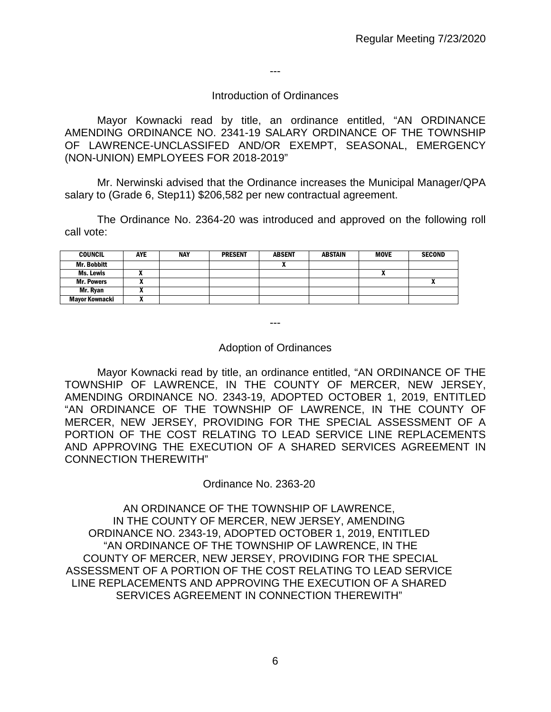---

#### Introduction of Ordinances

Mayor Kownacki read by title, an ordinance entitled, "AN ORDINANCE AMENDING ORDINANCE NO. 2341-19 SALARY ORDINANCE OF THE TOWNSHIP OF LAWRENCE-UNCLASSIFED AND/OR EXEMPT, SEASONAL, EMERGENCY (NON-UNION) EMPLOYEES FOR 2018-2019"

Mr. Nerwinski advised that the Ordinance increases the Municipal Manager/QPA salary to (Grade 6, Step11) \$206,582 per new contractual agreement.

The Ordinance No. 2364-20 was introduced and approved on the following roll call vote:

| <b>COUNCIL</b>        | AYE | <b>NAY</b> | <b>PRESENT</b> | <b>ABSENT</b> | ABSTAIN | <b>MOVE</b> | <b>SECOND</b> |
|-----------------------|-----|------------|----------------|---------------|---------|-------------|---------------|
| <b>Mr. Bobbitt</b>    |     |            |                |               |         |             |               |
| Ms. Lewis             |     |            |                |               |         | n           |               |
| <b>Mr. Powers</b>     |     |            |                |               |         |             | $\mathbf{r}$  |
| Mr. Ryan              |     |            |                |               |         |             |               |
| <b>Mayor Kownacki</b> |     |            |                |               |         |             |               |

---

#### Adoption of Ordinances

Mayor Kownacki read by title, an ordinance entitled, "AN ORDINANCE OF THE TOWNSHIP OF LAWRENCE, IN THE COUNTY OF MERCER, NEW JERSEY, AMENDING ORDINANCE NO. 2343-19, ADOPTED OCTOBER 1, 2019, ENTITLED "AN ORDINANCE OF THE TOWNSHIP OF LAWRENCE, IN THE COUNTY OF MERCER, NEW JERSEY, PROVIDING FOR THE SPECIAL ASSESSMENT OF A PORTION OF THE COST RELATING TO LEAD SERVICE LINE REPLACEMENTS AND APPROVING THE EXECUTION OF A SHARED SERVICES AGREEMENT IN CONNECTION THEREWITH"

#### Ordinance No. 2363-20

AN ORDINANCE OF THE TOWNSHIP OF LAWRENCE, IN THE COUNTY OF MERCER, NEW JERSEY, AMENDING ORDINANCE NO. 2343-19, ADOPTED OCTOBER 1, 2019, ENTITLED "AN ORDINANCE OF THE TOWNSHIP OF LAWRENCE, IN THE COUNTY OF MERCER, NEW JERSEY, PROVIDING FOR THE SPECIAL ASSESSMENT OF A PORTION OF THE COST RELATING TO LEAD SERVICE LINE REPLACEMENTS AND APPROVING THE EXECUTION OF A SHARED SERVICES AGREEMENT IN CONNECTION THEREWITH"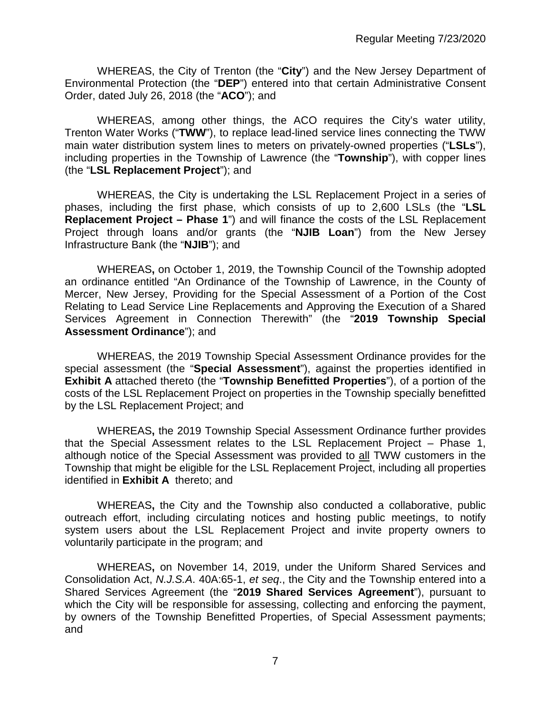WHEREAS, the City of Trenton (the "**City**") and the New Jersey Department of Environmental Protection (the "**DEP**") entered into that certain Administrative Consent Order, dated July 26, 2018 (the "**ACO**"); and

WHEREAS, among other things, the ACO requires the City's water utility, Trenton Water Works ("**TWW**"), to replace lead-lined service lines connecting the TWW main water distribution system lines to meters on privately-owned properties ("**LSLs**"), including properties in the Township of Lawrence (the "**Township**"), with copper lines (the "**LSL Replacement Project**"); and

WHEREAS, the City is undertaking the LSL Replacement Project in a series of phases, including the first phase, which consists of up to 2,600 LSLs (the "**LSL Replacement Project – Phase 1**") and will finance the costs of the LSL Replacement Project through loans and/or grants (the "**NJIB Loan**") from the New Jersey Infrastructure Bank (the "**NJIB**"); and

WHEREAS**,** on October 1, 2019, the Township Council of the Township adopted an ordinance entitled "An Ordinance of the Township of Lawrence, in the County of Mercer, New Jersey, Providing for the Special Assessment of a Portion of the Cost Relating to Lead Service Line Replacements and Approving the Execution of a Shared Services Agreement in Connection Therewith" (the "**2019 Township Special Assessment Ordinance**"); and

WHEREAS, the 2019 Township Special Assessment Ordinance provides for the special assessment (the "**Special Assessment**"), against the properties identified in **Exhibit A** attached thereto (the "**Township Benefitted Properties**"), of a portion of the costs of the LSL Replacement Project on properties in the Township specially benefitted by the LSL Replacement Project; and

WHEREAS**,** the 2019 Township Special Assessment Ordinance further provides that the Special Assessment relates to the LSL Replacement Project – Phase 1, although notice of the Special Assessment was provided to all TWW customers in the Township that might be eligible for the LSL Replacement Project, including all properties identified in **Exhibit A** thereto; and

WHEREAS**,** the City and the Township also conducted a collaborative, public outreach effort, including circulating notices and hosting public meetings, to notify system users about the LSL Replacement Project and invite property owners to voluntarily participate in the program; and

WHEREAS**,** on November 14, 2019, under the Uniform Shared Services and Consolidation Act, *N.J.S.A*. 40A:65-1, *et seq*., the City and the Township entered into a Shared Services Agreement (the "**2019 Shared Services Agreement**"), pursuant to which the City will be responsible for assessing, collecting and enforcing the payment, by owners of the Township Benefitted Properties, of Special Assessment payments; and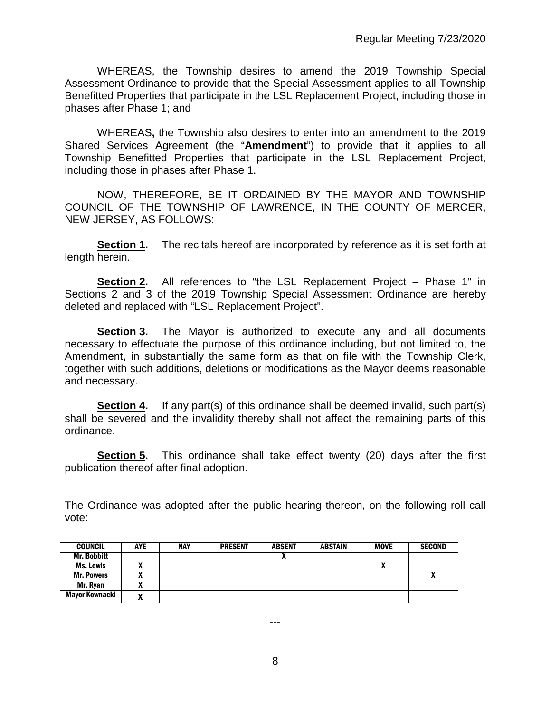WHEREAS, the Township desires to amend the 2019 Township Special Assessment Ordinance to provide that the Special Assessment applies to all Township Benefitted Properties that participate in the LSL Replacement Project, including those in phases after Phase 1; and

WHEREAS**,** the Township also desires to enter into an amendment to the 2019 Shared Services Agreement (the "**Amendment**") to provide that it applies to all Township Benefitted Properties that participate in the LSL Replacement Project, including those in phases after Phase 1.

NOW, THEREFORE, BE IT ORDAINED BY THE MAYOR AND TOWNSHIP COUNCIL OF THE TOWNSHIP OF LAWRENCE, IN THE COUNTY OF MERCER, NEW JERSEY, AS FOLLOWS:

**Section 1.** The recitals hereof are incorporated by reference as it is set forth at length herein.

**Section 2.** All references to "the LSL Replacement Project – Phase 1" in Sections 2 and 3 of the 2019 Township Special Assessment Ordinance are hereby deleted and replaced with "LSL Replacement Project".

**Section 3.** The Mayor is authorized to execute any and all documents necessary to effectuate the purpose of this ordinance including, but not limited to, the Amendment, in substantially the same form as that on file with the Township Clerk, together with such additions, deletions or modifications as the Mayor deems reasonable and necessary.

**Section 4.** If any part(s) of this ordinance shall be deemed invalid, such part(s) shall be severed and the invalidity thereby shall not affect the remaining parts of this ordinance.

**Section 5.** This ordinance shall take effect twenty (20) days after the first publication thereof after final adoption.

The Ordinance was adopted after the public hearing thereon, on the following roll call vote:

| <b>COUNCIL</b>     | <b>AYE</b> | <b>NAY</b> | <b>PRESENT</b> | <b>ABSENT</b> | <b>ABSTAIN</b> | <b>MOVE</b> | <b>SECOND</b> |
|--------------------|------------|------------|----------------|---------------|----------------|-------------|---------------|
| <b>Mr. Bobbitt</b> |            |            |                |               |                |             |               |
| Ms. Lewis          | ~          |            |                |               |                | Λ           |               |
| <b>Mr. Powers</b>  |            |            |                |               |                |             | $\mathbf{v}$  |
| Mr. Ryan           | ~          |            |                |               |                |             |               |
| Mayor Kownacki     | n          |            |                |               |                |             |               |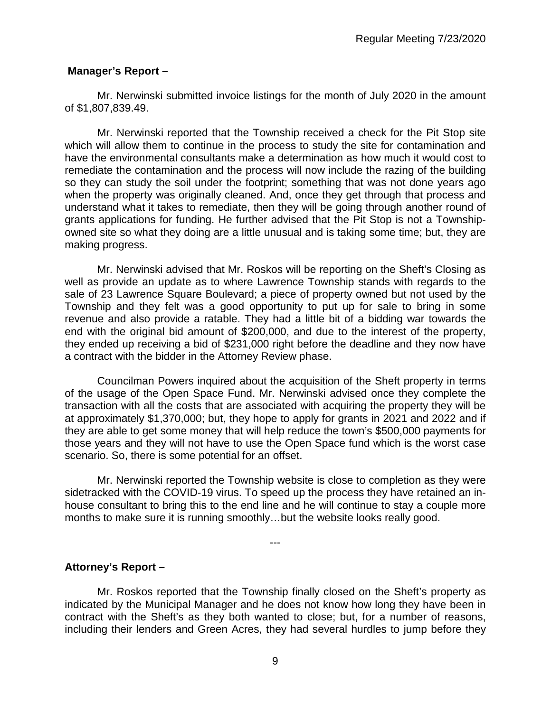# **Manager's Report –**

Mr. Nerwinski submitted invoice listings for the month of July 2020 in the amount of \$1,807,839.49.

Mr. Nerwinski reported that the Township received a check for the Pit Stop site which will allow them to continue in the process to study the site for contamination and have the environmental consultants make a determination as how much it would cost to remediate the contamination and the process will now include the razing of the building so they can study the soil under the footprint; something that was not done years ago when the property was originally cleaned. And, once they get through that process and understand what it takes to remediate, then they will be going through another round of grants applications for funding. He further advised that the Pit Stop is not a Townshipowned site so what they doing are a little unusual and is taking some time; but, they are making progress.

Mr. Nerwinski advised that Mr. Roskos will be reporting on the Sheft's Closing as well as provide an update as to where Lawrence Township stands with regards to the sale of 23 Lawrence Square Boulevard; a piece of property owned but not used by the Township and they felt was a good opportunity to put up for sale to bring in some revenue and also provide a ratable. They had a little bit of a bidding war towards the end with the original bid amount of \$200,000, and due to the interest of the property, they ended up receiving a bid of \$231,000 right before the deadline and they now have a contract with the bidder in the Attorney Review phase.

Councilman Powers inquired about the acquisition of the Sheft property in terms of the usage of the Open Space Fund. Mr. Nerwinski advised once they complete the transaction with all the costs that are associated with acquiring the property they will be at approximately \$1,370,000; but, they hope to apply for grants in 2021 and 2022 and if they are able to get some money that will help reduce the town's \$500,000 payments for those years and they will not have to use the Open Space fund which is the worst case scenario. So, there is some potential for an offset.

Mr. Nerwinski reported the Township website is close to completion as they were sidetracked with the COVID-19 virus. To speed up the process they have retained an inhouse consultant to bring this to the end line and he will continue to stay a couple more months to make sure it is running smoothly…but the website looks really good.

---

**Attorney's Report –**

Mr. Roskos reported that the Township finally closed on the Sheft's property as indicated by the Municipal Manager and he does not know how long they have been in contract with the Sheft's as they both wanted to close; but, for a number of reasons, including their lenders and Green Acres, they had several hurdles to jump before they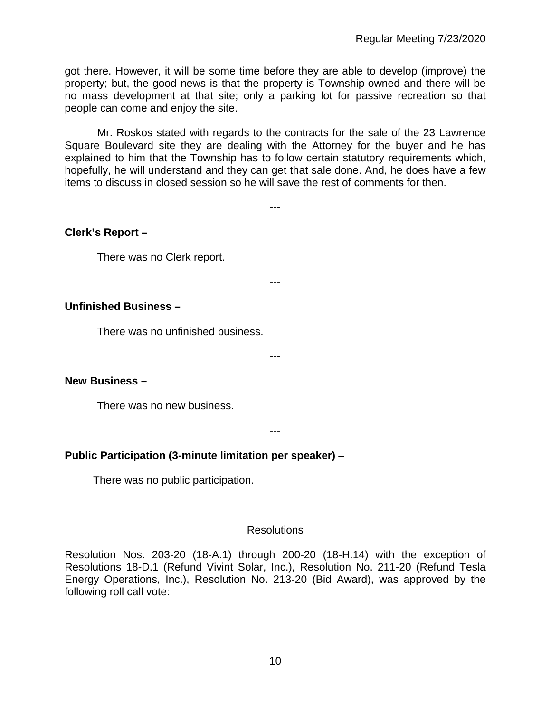got there. However, it will be some time before they are able to develop (improve) the property; but, the good news is that the property is Township-owned and there will be no mass development at that site; only a parking lot for passive recreation so that people can come and enjoy the site.

Mr. Roskos stated with regards to the contracts for the sale of the 23 Lawrence Square Boulevard site they are dealing with the Attorney for the buyer and he has explained to him that the Township has to follow certain statutory requirements which, hopefully, he will understand and they can get that sale done. And, he does have a few items to discuss in closed session so he will save the rest of comments for then.

---

---

# **Clerk's Report –**

There was no Clerk report.

## **Unfinished Business –**

There was no unfinished business.

#### ---

## **New Business –**

There was no new business.

#### ---

# **Public Participation (3-minute limitation per speaker)** –

There was no public participation.

---

#### Resolutions

Resolution Nos. 203-20 (18-A.1) through 200-20 (18-H.14) with the exception of Resolutions 18-D.1 (Refund Vivint Solar, Inc.), Resolution No. 211-20 (Refund Tesla Energy Operations, Inc.), Resolution No. 213-20 (Bid Award), was approved by the following roll call vote: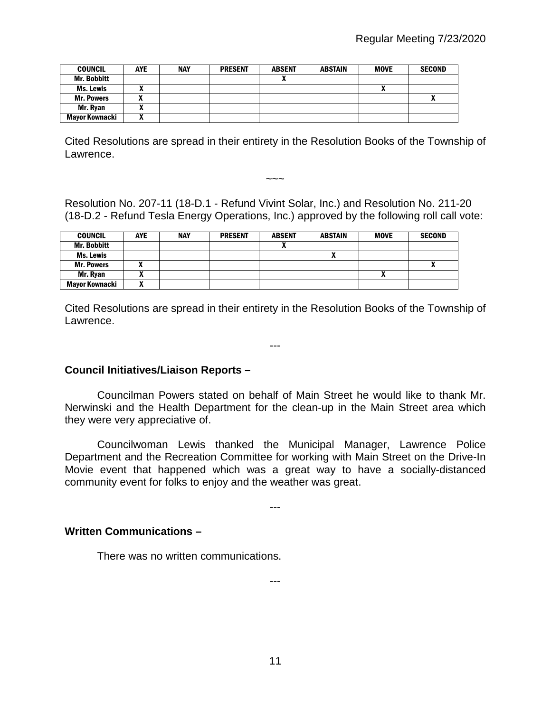| <b>COUNCIL</b>        | <b>AYE</b> | <b>NAY</b> | <b>PRESENT</b> | <b>ABSENT</b> | <b>ABSTAIN</b> | <b>MOVE</b>  | <b>SECOND</b> |
|-----------------------|------------|------------|----------------|---------------|----------------|--------------|---------------|
| <b>Mr. Bobbitt</b>    |            |            |                |               |                |              |               |
| Ms. Lewis             |            |            |                |               |                | $\mathbf{v}$ |               |
| <b>Mr. Powers</b>     |            |            |                |               |                |              |               |
| Mr. Ryan              |            |            |                |               |                |              |               |
| <b>Mayor Kownacki</b> |            |            |                |               |                |              |               |

Cited Resolutions are spread in their entirety in the Resolution Books of the Township of Lawrence.

Resolution No. 207-11 (18-D.1 - Refund Vivint Solar, Inc.) and Resolution No. 211-20 (18-D.2 - Refund Tesla Energy Operations, Inc.) approved by the following roll call vote:

 $\sim\sim\sim$ 

| <b>COUNCIL</b>    | <b>AYE</b> | <b>NAY</b> | <b>PRESENT</b> | <b>ABSENT</b> | <b>ABSTAIN</b> | <b>MOVE</b>  | <b>SECOND</b> |
|-------------------|------------|------------|----------------|---------------|----------------|--------------|---------------|
| Mr. Bobbitt       |            |            |                |               |                |              |               |
| Ms. Lewis         |            |            |                |               |                |              |               |
| <b>Mr. Powers</b> |            |            |                |               |                |              |               |
| Mr. Ryan          |            |            |                |               |                | $\mathbf{r}$ |               |
| Mayor Kownacki    |            |            |                |               |                |              |               |

Cited Resolutions are spread in their entirety in the Resolution Books of the Township of Lawrence.

---

## **Council Initiatives/Liaison Reports –**

Councilman Powers stated on behalf of Main Street he would like to thank Mr. Nerwinski and the Health Department for the clean-up in the Main Street area which they were very appreciative of.

Councilwoman Lewis thanked the Municipal Manager, Lawrence Police Department and the Recreation Committee for working with Main Street on the Drive-In Movie event that happened which was a great way to have a socially-distanced community event for folks to enjoy and the weather was great.

---

#### **Written Communications –**

There was no written communications.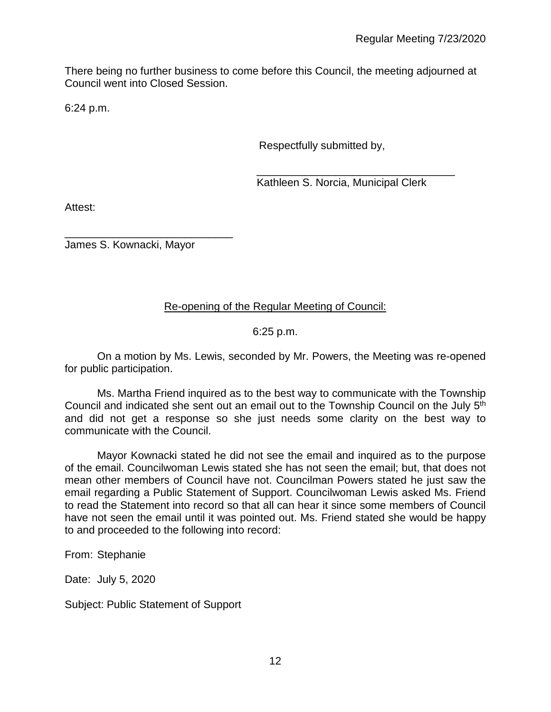There being no further business to come before this Council, the meeting adjourned at Council went into Closed Session.

6:24 p.m.

Respectfully submitted by,

 \_\_\_\_\_\_\_\_\_\_\_\_\_\_\_\_\_\_\_\_\_\_\_\_\_\_\_\_\_\_\_\_\_ Kathleen S. Norcia, Municipal Clerk

Attest:

\_\_\_\_\_\_\_\_\_\_\_\_\_\_\_\_\_\_\_\_\_\_\_\_\_\_\_\_ James S. Kownacki, Mayor

# Re-opening of the Regular Meeting of Council:

# 6:25 p.m.

On a motion by Ms. Lewis, seconded by Mr. Powers, the Meeting was re-opened for public participation.

Ms. Martha Friend inquired as to the best way to communicate with the Township Council and indicated she sent out an email out to the Township Council on the July 5<sup>th</sup> and did not get a response so she just needs some clarity on the best way to communicate with the Council.

Mayor Kownacki stated he did not see the email and inquired as to the purpose of the email. Councilwoman Lewis stated she has not seen the email; but, that does not mean other members of Council have not. Councilman Powers stated he just saw the email regarding a Public Statement of Support. Councilwoman Lewis asked Ms. Friend to read the Statement into record so that all can hear it since some members of Council have not seen the email until it was pointed out. Ms. Friend stated she would be happy to and proceeded to the following into record:

From: Stephanie

Date: July 5, 2020

Subject: Public Statement of Support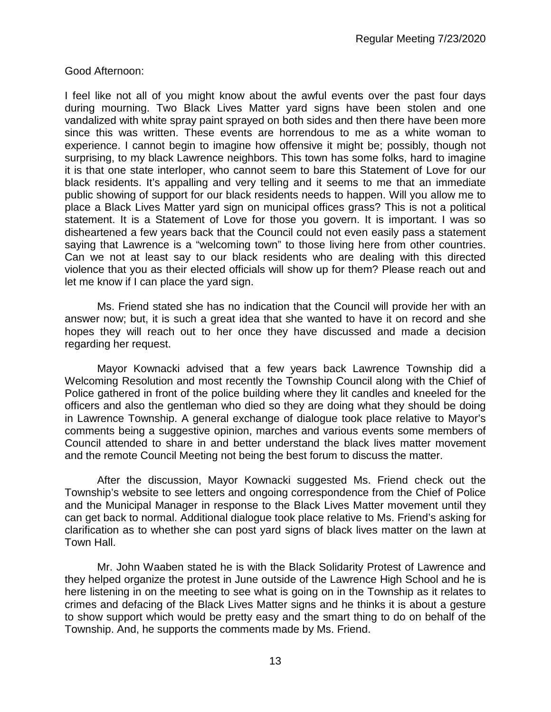Good Afternoon:

I feel like not all of you might know about the awful events over the past four days during mourning. Two Black Lives Matter yard signs have been stolen and one vandalized with white spray paint sprayed on both sides and then there have been more since this was written. These events are horrendous to me as a white woman to experience. I cannot begin to imagine how offensive it might be; possibly, though not surprising, to my black Lawrence neighbors. This town has some folks, hard to imagine it is that one state interloper, who cannot seem to bare this Statement of Love for our black residents. It's appalling and very telling and it seems to me that an immediate public showing of support for our black residents needs to happen. Will you allow me to place a Black Lives Matter yard sign on municipal offices grass? This is not a political statement. It is a Statement of Love for those you govern. It is important. I was so disheartened a few years back that the Council could not even easily pass a statement saying that Lawrence is a "welcoming town" to those living here from other countries. Can we not at least say to our black residents who are dealing with this directed violence that you as their elected officials will show up for them? Please reach out and let me know if I can place the yard sign.

Ms. Friend stated she has no indication that the Council will provide her with an answer now; but, it is such a great idea that she wanted to have it on record and she hopes they will reach out to her once they have discussed and made a decision regarding her request.

Mayor Kownacki advised that a few years back Lawrence Township did a Welcoming Resolution and most recently the Township Council along with the Chief of Police gathered in front of the police building where they lit candles and kneeled for the officers and also the gentleman who died so they are doing what they should be doing in Lawrence Township. A general exchange of dialogue took place relative to Mayor's comments being a suggestive opinion, marches and various events some members of Council attended to share in and better understand the black lives matter movement and the remote Council Meeting not being the best forum to discuss the matter.

After the discussion, Mayor Kownacki suggested Ms. Friend check out the Township's website to see letters and ongoing correspondence from the Chief of Police and the Municipal Manager in response to the Black Lives Matter movement until they can get back to normal. Additional dialogue took place relative to Ms. Friend's asking for clarification as to whether she can post yard signs of black lives matter on the lawn at Town Hall.

Mr. John Waaben stated he is with the Black Solidarity Protest of Lawrence and they helped organize the protest in June outside of the Lawrence High School and he is here listening in on the meeting to see what is going on in the Township as it relates to crimes and defacing of the Black Lives Matter signs and he thinks it is about a gesture to show support which would be pretty easy and the smart thing to do on behalf of the Township. And, he supports the comments made by Ms. Friend.